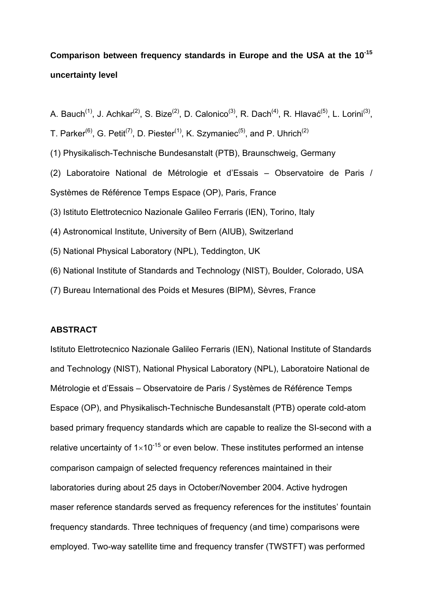# **Comparison between frequency standards in Europe and the USA at the 10-15 uncertainty level**

A. Bauch<sup>(1)</sup>, J. Achkar<sup>(2)</sup>, S. Bize<sup>(2)</sup>, D. Calonico<sup>(3)</sup>, R. Dach<sup>(4)</sup>, R. Hlavać<sup>(5)</sup>, L. Lorini<sup>(3)</sup>,

T. Parker<sup>(6)</sup>, G. Petit<sup>(7)</sup>, D. Piester<sup>(1)</sup>, K. Szymaniec<sup>(5)</sup>, and P. Uhrich<sup>(2)</sup>

- (1) Physikalisch-Technische Bundesanstalt (PTB), Braunschweig, Germany
- (2) Laboratoire National de Métrologie et d'Essais Observatoire de Paris /
- Systèmes de Référence Temps Espace (OP), Paris, France
- (3) Istituto Elettrotecnico Nazionale Galileo Ferraris (IEN), Torino, Italy
- (4) Astronomical Institute, University of Bern (AIUB), Switzerland
- (5) National Physical Laboratory (NPL), Teddington, UK
- (6) National Institute of Standards and Technology (NIST), Boulder, Colorado, USA
- (7) Bureau International des Poids et Mesures (BIPM), Sèvres, France

# **ABSTRACT**

Istituto Elettrotecnico Nazionale Galileo Ferraris (IEN), National Institute of Standards and Technology (NIST), National Physical Laboratory (NPL), Laboratoire National de Métrologie et d'Essais – Observatoire de Paris / Systèmes de Référence Temps Espace (OP), and Physikalisch-Technische Bundesanstalt (PTB) operate cold-atom based primary frequency standards which are capable to realize the SI-second with a relative uncertainty of  $1\times10^{-15}$  or even below. These institutes performed an intense comparison campaign of selected frequency references maintained in their laboratories during about 25 days in October/November 2004. Active hydrogen maser reference standards served as frequency references for the institutes' fountain frequency standards. Three techniques of frequency (and time) comparisons were employed. Two-way satellite time and frequency transfer (TWSTFT) was performed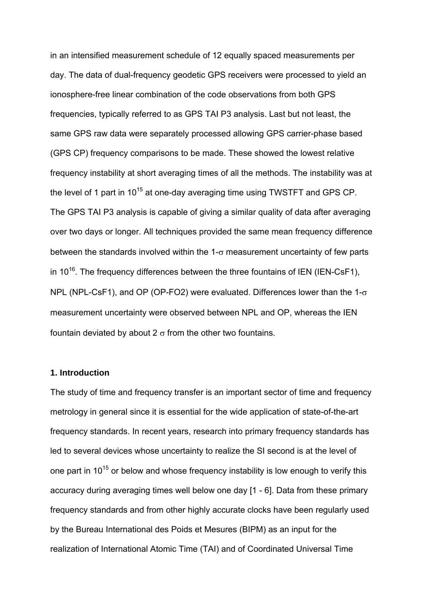in an intensified measurement schedule of 12 equally spaced measurements per day. The data of dual-frequency geodetic GPS receivers were processed to yield an ionosphere-free linear combination of the code observations from both GPS frequencies, typically referred to as GPS TAI P3 analysis. Last but not least, the same GPS raw data were separately processed allowing GPS carrier-phase based (GPS CP) frequency comparisons to be made. These showed the lowest relative frequency instability at short averaging times of all the methods. The instability was at the level of 1 part in  $10^{15}$  at one-day averaging time using TWSTFT and GPS CP. The GPS TAI P3 analysis is capable of giving a similar quality of data after averaging over two days or longer. All techniques provided the same mean frequency difference between the standards involved within the  $1-\sigma$  measurement uncertainty of few parts in  $10^{16}$ . The frequency differences between the three fountains of IEN (IEN-CsF1), NPL (NPL-CsF1), and OP (OP-FO2) were evaluated. Differences lower than the  $1-\sigma$ measurement uncertainty were observed between NPL and OP, whereas the IEN fountain deviated by about 2  $\sigma$  from the other two fountains.

#### **1. Introduction**

The study of time and frequency transfer is an important sector of time and frequency metrology in general since it is essential for the wide application of state-of-the-art frequency standards. In recent years, research into primary frequency standards has led to several devices whose uncertainty to realize the SI second is at the level of one part in  $10^{15}$  or below and whose frequency instability is low enough to verify this accuracy during averaging times well below one day [1 - 6]. Data from these primary frequency standards and from other highly accurate clocks have been regularly used by the Bureau International des Poids et Mesures (BIPM) as an input for the realization of International Atomic Time (TAI) and of Coordinated Universal Time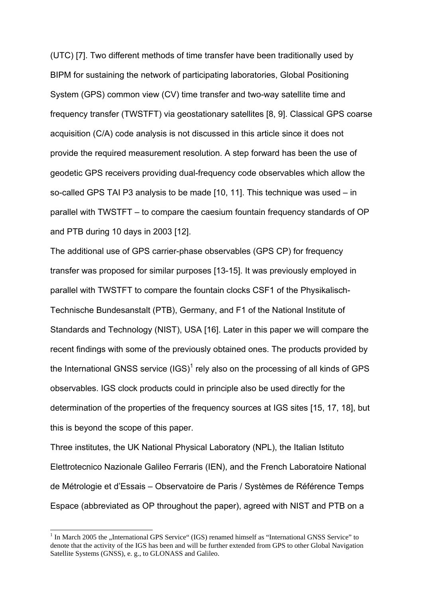(UTC) [7]. Two different methods of time transfer have been traditionally used by BIPM for sustaining the network of participating laboratories, Global Positioning System (GPS) common view (CV) time transfer and two-way satellite time and frequency transfer (TWSTFT) via geostationary satellites [8, 9]. Classical GPS coarse acquisition (C/A) code analysis is not discussed in this article since it does not provide the required measurement resolution. A step forward has been the use of geodetic GPS receivers providing dual-frequency code observables which allow the so-called GPS TAI P3 analysis to be made [10, 11]. This technique was used – in parallel with TWSTFT – to compare the caesium fountain frequency standards of OP and PTB during 10 days in 2003 [12].

The additional use of GPS carrier-phase observables (GPS CP) for frequency transfer was proposed for similar purposes [13-15]. It was previously employed in parallel with TWSTFT to compare the fountain clocks CSF1 of the Physikalisch-Technische Bundesanstalt (PTB), Germany, and F1 of the National Institute of Standards and Technology (NIST), USA [16]. Later in this paper we will compare the recent findings with some of the previously obtained ones. The products provided by the International GNSS service  $(GS)^1$  rely also on the processing of all kinds of GPS observables. IGS clock products could in principle also be used directly for the determination of the properties of the frequency sources at IGS sites [15, 17, 18], but this is beyond the scope of this paper.

Three institutes, the UK National Physical Laboratory (NPL), the Italian Istituto Elettrotecnico Nazionale Galileo Ferraris (IEN), and the French Laboratoire National de Métrologie et d'Essais – Observatoire de Paris / Systèmes de Référence Temps Espace (abbreviated as OP throughout the paper), agreed with NIST and PTB on a

-

<sup>&</sup>lt;sup>1</sup> In March 2005 the "International GPS Service" (IGS) renamed himself as "International GNSS Service" to denote that the activity of the IGS has been and will be further extended from GPS to other Global Navigation Satellite Systems (GNSS), e. g., to GLONASS and Galileo.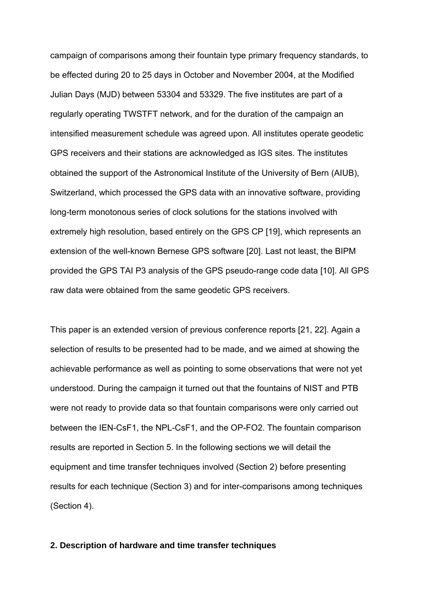campaign of comparisons among their fountain type primary frequency standards, to be effected during 20 to 25 days in October and November 2004, at the Modified Julian Days (MJD) between 53304 and 53329. The five institutes are part of a regularly operating TWSTFT network, and for the duration of the campaign an intensified measurement schedule was agreed upon. All institutes operate geodetic GPS receivers and their stations are acknowledged as IGS sites. The institutes obtained the support of the Astronomical Institute of the University of Bern (AIUB), Switzerland, which processed the GPS data with an innovative software, providing long-term monotonous series of clock solutions for the stations involved with extremely high resolution, based entirely on the GPS CP [19], which represents an extension of the well-known Bernese GPS software [20]. Last not least, the BIPM provided the GPS TAI P3 analysis of the GPS pseudo-range code data [10]. All GPS raw data were obtained from the same geodetic GPS receivers.

This paper is an extended version of previous conference reports [21, 22]. Again a selection of results to be presented had to be made, and we aimed at showing the achievable performance as well as pointing to some observations that were not yet understood. During the campaign it turned out that the fountains of NIST and PTB were not ready to provide data so that fountain comparisons were only carried out between the IEN-CsF1, the NPL-CsF1, and the OP-FO2. The fountain comparison results are reported in Section 5. In the following sections we will detail the equipment and time transfer techniques involved (Section 2) before presenting results for each technique (Section 3) and for inter-comparisons among techniques (Section 4).

#### **2. Description of hardware and time transfer techniques**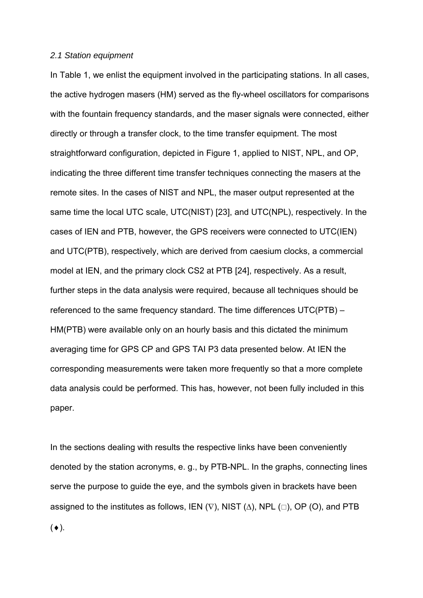#### *2.1 Station equipment*

In Table 1, we enlist the equipment involved in the participating stations. In all cases, the active hydrogen masers (HM) served as the fly-wheel oscillators for comparisons with the fountain frequency standards, and the maser signals were connected, either directly or through a transfer clock, to the time transfer equipment. The most straightforward configuration, depicted in Figure 1, applied to NIST, NPL, and OP, indicating the three different time transfer techniques connecting the masers at the remote sites. In the cases of NIST and NPL, the maser output represented at the same time the local UTC scale, UTC(NIST) [23], and UTC(NPL), respectively. In the cases of IEN and PTB, however, the GPS receivers were connected to UTC(IEN) and UTC(PTB), respectively, which are derived from caesium clocks, a commercial model at IEN, and the primary clock CS2 at PTB [24], respectively. As a result, further steps in the data analysis were required, because all techniques should be referenced to the same frequency standard. The time differences UTC(PTB) – HM(PTB) were available only on an hourly basis and this dictated the minimum averaging time for GPS CP and GPS TAI P3 data presented below. At IEN the corresponding measurements were taken more frequently so that a more complete data analysis could be performed. This has, however, not been fully included in this paper.

In the sections dealing with results the respective links have been conveniently denoted by the station acronyms, e. g., by PTB-NPL. In the graphs, connecting lines serve the purpose to guide the eye, and the symbols given in brackets have been assigned to the institutes as follows, IEN  $(\nabla)$ , NIST  $(\Delta)$ , NPL  $(\Box)$ , OP  $(\mathsf{O})$ , and PTB  $(•).$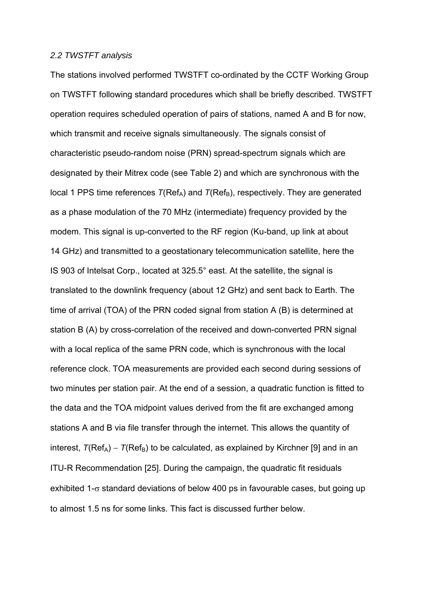#### *2.2 TWSTFT analysis*

The stations involved performed TWSTFT co-ordinated by the CCTF Working Group on TWSTFT following standard procedures which shall be briefly described. TWSTFT operation requires scheduled operation of pairs of stations, named A and B for now, which transmit and receive signals simultaneously. The signals consist of characteristic pseudo-random noise (PRN) spread-spectrum signals which are designated by their Mitrex code (see Table 2) and which are synchronous with the local 1 PPS time references  $T(Ref_A)$  and  $T(Ref_B)$ , respectively. They are generated as a phase modulation of the 70 MHz (intermediate) frequency provided by the modem. This signal is up-converted to the RF region (Ku-band, up link at about 14 GHz) and transmitted to a geostationary telecommunication satellite, here the IS 903 of Intelsat Corp., located at 325.5° east. At the satellite, the signal is translated to the downlink frequency (about 12 GHz) and sent back to Earth. The time of arrival (TOA) of the PRN coded signal from station A (B) is determined at station B (A) by cross-correlation of the received and down-converted PRN signal with a local replica of the same PRN code, which is synchronous with the local reference clock. TOA measurements are provided each second during sessions of two minutes per station pair. At the end of a session, a quadratic function is fitted to the data and the TOA midpoint values derived from the fit are exchanged among stations A and B via file transfer through the internet. This allows the quantity of interest,  $T(Ref_A) - T(Ref_B)$  to be calculated, as explained by Kirchner [9] and in an ITU-R Recommendation [25]. During the campaign, the quadratic fit residuals exhibited 1- $\sigma$  standard deviations of below 400 ps in favourable cases, but going up to almost 1.5 ns for some links. This fact is discussed further below.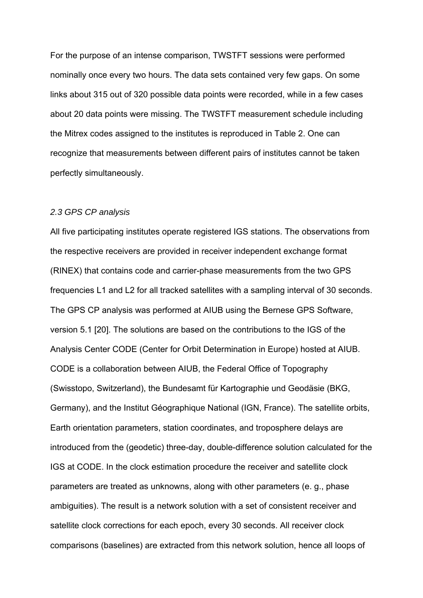For the purpose of an intense comparison, TWSTFT sessions were performed nominally once every two hours. The data sets contained very few gaps. On some links about 315 out of 320 possible data points were recorded, while in a few cases about 20 data points were missing. The TWSTFT measurement schedule including the Mitrex codes assigned to the institutes is reproduced in Table 2. One can recognize that measurements between different pairs of institutes cannot be taken perfectly simultaneously.

#### *2.3 GPS CP analysis*

All five participating institutes operate registered IGS stations. The observations from the respective receivers are provided in receiver independent exchange format (RINEX) that contains code and carrier-phase measurements from the two GPS frequencies L1 and L2 for all tracked satellites with a sampling interval of 30 seconds. The GPS CP analysis was performed at AIUB using the Bernese GPS Software, version 5.1 [20]. The solutions are based on the contributions to the IGS of the Analysis Center CODE (Center for Orbit Determination in Europe) hosted at AIUB. CODE is a collaboration between AIUB, the Federal Office of Topography (Swisstopo, Switzerland), the Bundesamt für Kartographie und Geodäsie (BKG, Germany), and the Institut Géographique National (IGN, France). The satellite orbits, Earth orientation parameters, station coordinates, and troposphere delays are introduced from the (geodetic) three-day, double-difference solution calculated for the IGS at CODE. In the clock estimation procedure the receiver and satellite clock parameters are treated as unknowns, along with other parameters (e. g., phase ambiguities). The result is a network solution with a set of consistent receiver and satellite clock corrections for each epoch, every 30 seconds. All receiver clock comparisons (baselines) are extracted from this network solution, hence all loops of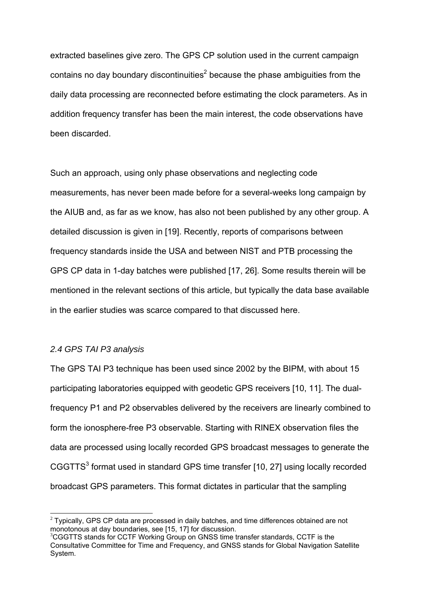extracted baselines give zero. The GPS CP solution used in the current campaign contains no day boundary discontinuities<sup>2</sup> because the phase ambiguities from the daily data processing are reconnected before estimating the clock parameters. As in addition frequency transfer has been the main interest, the code observations have been discarded.

Such an approach, using only phase observations and neglecting code measurements, has never been made before for a several-weeks long campaign by the AIUB and, as far as we know, has also not been published by any other group. A detailed discussion is given in [19]. Recently, reports of comparisons between frequency standards inside the USA and between NIST and PTB processing the GPS CP data in 1-day batches were published [17, 26]. Some results therein will be mentioned in the relevant sections of this article, but typically the data base available in the earlier studies was scarce compared to that discussed here.

# *2.4 GPS TAI P3 analysis*

1

The GPS TAI P3 technique has been used since 2002 by the BIPM, with about 15 participating laboratories equipped with geodetic GPS receivers [10, 11]. The dualfrequency P1 and P2 observables delivered by the receivers are linearly combined to form the ionosphere-free P3 observable. Starting with RINEX observation files the data are processed using locally recorded GPS broadcast messages to generate the  $CGGTTS<sup>3</sup>$  format used in standard GPS time transfer [10, 27] using locally recorded broadcast GPS parameters. This format dictates in particular that the sampling

 $2$  Typically, GPS CP data are processed in daily batches, and time differences obtained are not monotonous at day boundaries, see [15, 17] for discussion.

<sup>&</sup>lt;sup>3</sup>CGGTTS stands for CCTF Working Group on GNSS time transfer standards, CCTF is the Consultative Committee for Time and Frequency, and GNSS stands for Global Navigation Satellite System.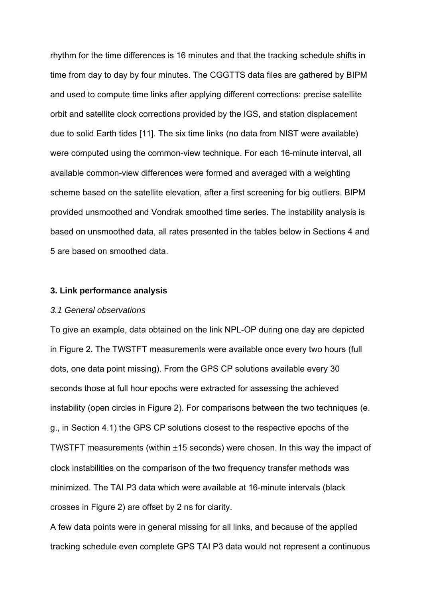rhythm for the time differences is 16 minutes and that the tracking schedule shifts in time from day to day by four minutes. The CGGTTS data files are gathered by BIPM and used to compute time links after applying different corrections: precise satellite orbit and satellite clock corrections provided by the IGS, and station displacement due to solid Earth tides [11]. The six time links (no data from NIST were available) were computed using the common-view technique. For each 16-minute interval, all available common-view differences were formed and averaged with a weighting scheme based on the satellite elevation, after a first screening for big outliers. BIPM provided unsmoothed and Vondrak smoothed time series. The instability analysis is based on unsmoothed data, all rates presented in the tables below in Sections 4 and 5 are based on smoothed data.

#### **3. Link performance analysis**

#### *3.1 General observations*

To give an example, data obtained on the link NPL-OP during one day are depicted in Figure 2. The TWSTFT measurements were available once every two hours (full dots, one data point missing). From the GPS CP solutions available every 30 seconds those at full hour epochs were extracted for assessing the achieved instability (open circles in Figure 2). For comparisons between the two techniques (e. g., in Section 4.1) the GPS CP solutions closest to the respective epochs of the TWSTFT measurements (within ±15 seconds) were chosen. In this way the impact of clock instabilities on the comparison of the two frequency transfer methods was minimized. The TAI P3 data which were available at 16-minute intervals (black crosses in Figure 2) are offset by 2 ns for clarity.

A few data points were in general missing for all links, and because of the applied tracking schedule even complete GPS TAI P3 data would not represent a continuous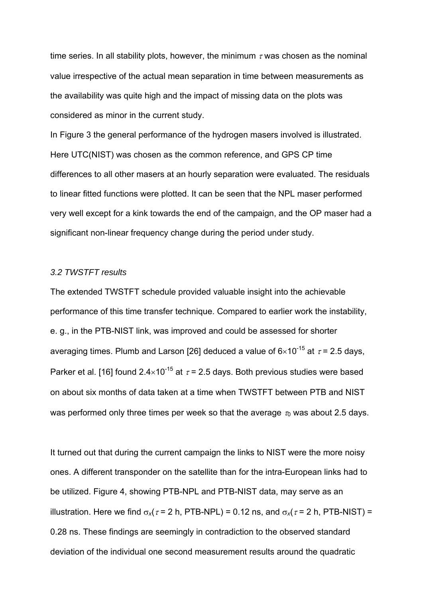time series. In all stability plots, however, the minimum  $\tau$  was chosen as the nominal value irrespective of the actual mean separation in time between measurements as the availability was quite high and the impact of missing data on the plots was considered as minor in the current study.

In Figure 3 the general performance of the hydrogen masers involved is illustrated. Here UTC(NIST) was chosen as the common reference, and GPS CP time differences to all other masers at an hourly separation were evaluated. The residuals to linear fitted functions were plotted. It can be seen that the NPL maser performed very well except for a kink towards the end of the campaign, and the OP maser had a significant non-linear frequency change during the period under study.

# *3.2 TWSTFT results*

The extended TWSTFT schedule provided valuable insight into the achievable performance of this time transfer technique. Compared to earlier work the instability, e. g., in the PTB-NIST link, was improved and could be assessed for shorter averaging times. Plumb and Larson [26] deduced a value of  $6\times10^{-15}$  at  $\tau$  = 2.5 days, Parker et al. [16] found  $2.4 \times 10^{-15}$  at  $\tau$  = 2.5 days. Both previous studies were based on about six months of data taken at a time when TWSTFT between PTB and NIST was performed only three times per week so that the average  $\tau_0$  was about 2.5 days.

It turned out that during the current campaign the links to NIST were the more noisy ones. A different transponder on the satellite than for the intra-European links had to be utilized. Figure 4, showing PTB-NPL and PTB-NIST data, may serve as an illustration. Here we find  $\sigma_x(\tau = 2 \text{ h}, \text{PTB-NPL}) = 0.12 \text{ ns}, \text{ and } \sigma_x(\tau = 2 \text{ h}, \text{PTB-NIST}) =$ 0.28 ns. These findings are seemingly in contradiction to the observed standard deviation of the individual one second measurement results around the quadratic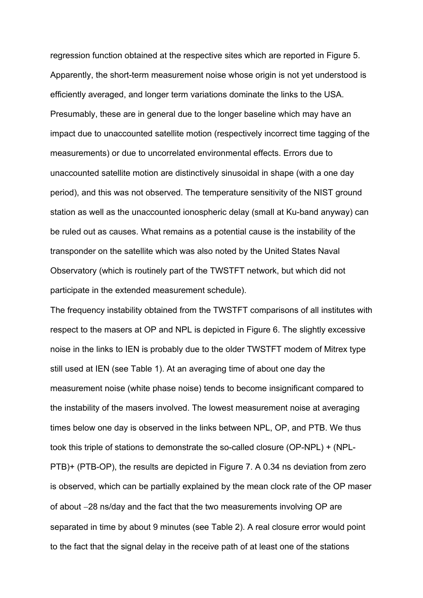regression function obtained at the respective sites which are reported in Figure 5. Apparently, the short-term measurement noise whose origin is not yet understood is efficiently averaged, and longer term variations dominate the links to the USA. Presumably, these are in general due to the longer baseline which may have an impact due to unaccounted satellite motion (respectively incorrect time tagging of the measurements) or due to uncorrelated environmental effects. Errors due to unaccounted satellite motion are distinctively sinusoidal in shape (with a one day period), and this was not observed. The temperature sensitivity of the NIST ground station as well as the unaccounted ionospheric delay (small at Ku-band anyway) can be ruled out as causes. What remains as a potential cause is the instability of the transponder on the satellite which was also noted by the United States Naval Observatory (which is routinely part of the TWSTFT network, but which did not participate in the extended measurement schedule).

The frequency instability obtained from the TWSTFT comparisons of all institutes with respect to the masers at OP and NPL is depicted in Figure 6. The slightly excessive noise in the links to IEN is probably due to the older TWSTFT modem of Mitrex type still used at IEN (see Table 1). At an averaging time of about one day the measurement noise (white phase noise) tends to become insignificant compared to the instability of the masers involved. The lowest measurement noise at averaging times below one day is observed in the links between NPL, OP, and PTB. We thus took this triple of stations to demonstrate the so-called closure (OP-NPL) + (NPL-PTB)+ (PTB-OP), the results are depicted in Figure 7. A 0.34 ns deviation from zero is observed, which can be partially explained by the mean clock rate of the OP maser of about −28 ns/day and the fact that the two measurements involving OP are separated in time by about 9 minutes (see Table 2). A real closure error would point to the fact that the signal delay in the receive path of at least one of the stations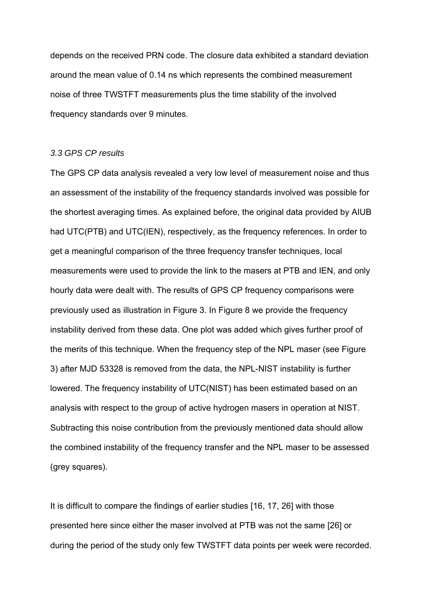depends on the received PRN code. The closure data exhibited a standard deviation around the mean value of 0.14 ns which represents the combined measurement noise of three TWSTFT measurements plus the time stability of the involved frequency standards over 9 minutes.

### *3.3 GPS CP results*

The GPS CP data analysis revealed a very low level of measurement noise and thus an assessment of the instability of the frequency standards involved was possible for the shortest averaging times. As explained before, the original data provided by AIUB had UTC(PTB) and UTC(IEN), respectively, as the frequency references. In order to get a meaningful comparison of the three frequency transfer techniques, local measurements were used to provide the link to the masers at PTB and IEN, and only hourly data were dealt with. The results of GPS CP frequency comparisons were previously used as illustration in Figure 3. In Figure 8 we provide the frequency instability derived from these data. One plot was added which gives further proof of the merits of this technique. When the frequency step of the NPL maser (see Figure 3) after MJD 53328 is removed from the data, the NPL-NIST instability is further lowered. The frequency instability of UTC(NIST) has been estimated based on an analysis with respect to the group of active hydrogen masers in operation at NIST. Subtracting this noise contribution from the previously mentioned data should allow the combined instability of the frequency transfer and the NPL maser to be assessed (grey squares).

It is difficult to compare the findings of earlier studies [16, 17, 26] with those presented here since either the maser involved at PTB was not the same [26] or during the period of the study only few TWSTFT data points per week were recorded.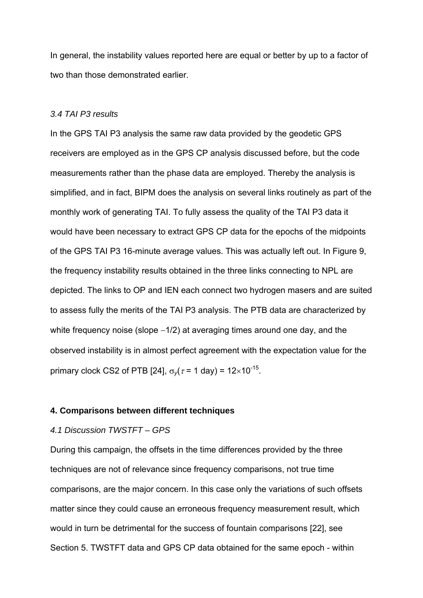In general, the instability values reported here are equal or better by up to a factor of two than those demonstrated earlier.

### *3.4 TAI P3 results*

In the GPS TAI P3 analysis the same raw data provided by the geodetic GPS receivers are employed as in the GPS CP analysis discussed before, but the code measurements rather than the phase data are employed. Thereby the analysis is simplified, and in fact, BIPM does the analysis on several links routinely as part of the monthly work of generating TAI. To fully assess the quality of the TAI P3 data it would have been necessary to extract GPS CP data for the epochs of the midpoints of the GPS TAI P3 16-minute average values. This was actually left out. In Figure 9, the frequency instability results obtained in the three links connecting to NPL are depicted. The links to OP and IEN each connect two hydrogen masers and are suited to assess fully the merits of the TAI P3 analysis. The PTB data are characterized by white frequency noise (slope −1/2) at averaging times around one day, and the observed instability is in almost perfect agreement with the expectation value for the primary clock CS2 of PTB [24],  $\sigma_{\nu}(\tau = 1 \text{ day}) = 12 \times 10^{-15}$ .

# **4. Comparisons between different techniques**

### *4.1 Discussion TWSTFT – GPS*

During this campaign, the offsets in the time differences provided by the three techniques are not of relevance since frequency comparisons, not true time comparisons, are the major concern. In this case only the variations of such offsets matter since they could cause an erroneous frequency measurement result, which would in turn be detrimental for the success of fountain comparisons [22], see Section 5. TWSTFT data and GPS CP data obtained for the same epoch - within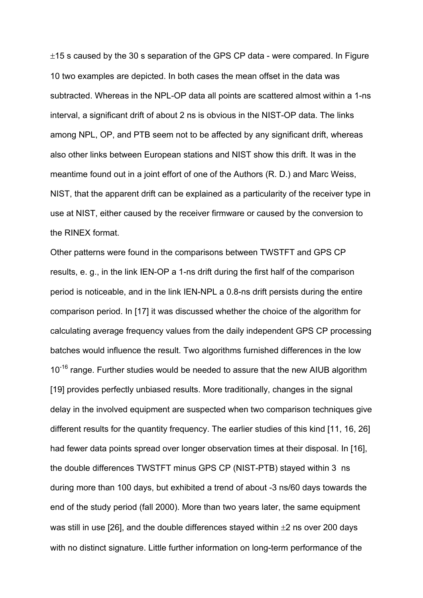$\pm$ 15 s caused by the 30 s separation of the GPS CP data - were compared. In Figure 10 two examples are depicted. In both cases the mean offset in the data was subtracted. Whereas in the NPL-OP data all points are scattered almost within a 1-ns interval, a significant drift of about 2 ns is obvious in the NIST-OP data. The links among NPL, OP, and PTB seem not to be affected by any significant drift, whereas also other links between European stations and NIST show this drift. It was in the meantime found out in a joint effort of one of the Authors (R. D.) and Marc Weiss, NIST, that the apparent drift can be explained as a particularity of the receiver type in use at NIST, either caused by the receiver firmware or caused by the conversion to the RINEX format.

Other patterns were found in the comparisons between TWSTFT and GPS CP results, e. g., in the link IEN-OP a 1-ns drift during the first half of the comparison period is noticeable, and in the link IEN-NPL a 0.8-ns drift persists during the entire comparison period. In [17] it was discussed whether the choice of the algorithm for calculating average frequency values from the daily independent GPS CP processing batches would influence the result. Two algorithms furnished differences in the low  $10^{-16}$  range. Further studies would be needed to assure that the new AIUB algorithm [19] provides perfectly unbiased results. More traditionally, changes in the signal delay in the involved equipment are suspected when two comparison techniques give different results for the quantity frequency. The earlier studies of this kind [11, 16, 26] had fewer data points spread over longer observation times at their disposal. In [16], the double differences TWSTFT minus GPS CP (NIST-PTB) stayed within 3 ns during more than 100 days, but exhibited a trend of about -3 ns/60 days towards the end of the study period (fall 2000). More than two years later, the same equipment was still in use [26], and the double differences stayed within ±2 ns over 200 days with no distinct signature. Little further information on long-term performance of the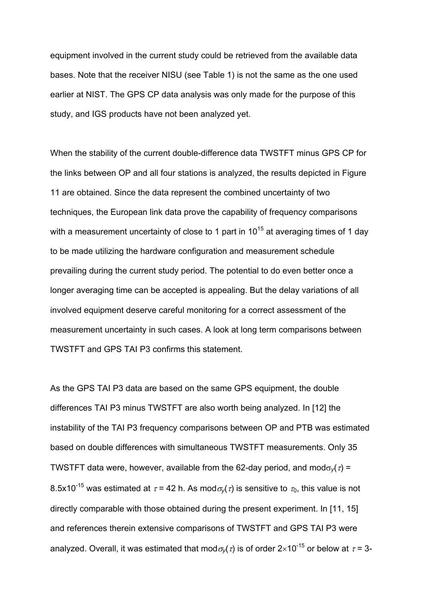equipment involved in the current study could be retrieved from the available data bases. Note that the receiver NISU (see Table 1) is not the same as the one used earlier at NIST. The GPS CP data analysis was only made for the purpose of this study, and IGS products have not been analyzed yet.

When the stability of the current double-difference data TWSTFT minus GPS CP for the links between OP and all four stations is analyzed, the results depicted in Figure 11 are obtained. Since the data represent the combined uncertainty of two techniques, the European link data prove the capability of frequency comparisons with a measurement uncertainty of close to 1 part in  $10^{15}$  at averaging times of 1 day to be made utilizing the hardware configuration and measurement schedule prevailing during the current study period. The potential to do even better once a longer averaging time can be accepted is appealing. But the delay variations of all involved equipment deserve careful monitoring for a correct assessment of the measurement uncertainty in such cases. A look at long term comparisons between TWSTFT and GPS TAI P3 confirms this statement.

As the GPS TAI P3 data are based on the same GPS equipment, the double differences TAI P3 minus TWSTFT are also worth being analyzed. In [12] the instability of the TAI P3 frequency comparisons between OP and PTB was estimated based on double differences with simultaneous TWSTFT measurements. Only 35 TWSTFT data were, however, available from the 62-day period, and mod $\sigma_v(\tau)$  = 8.5x10<sup>-15</sup> was estimated at  $\tau$  = 42 h. As mod  $\sigma_{\nu}(\tau)$  is sensitive to  $\tau_0$ , this value is not directly comparable with those obtained during the present experiment. In [11, 15] and references therein extensive comparisons of TWSTFT and GPS TAI P3 were analyzed. Overall, it was estimated that mod  $\sigma$  $\sqrt{\tau}$  is of order 2×10<sup>-15</sup> or below at  $\tau$  = 3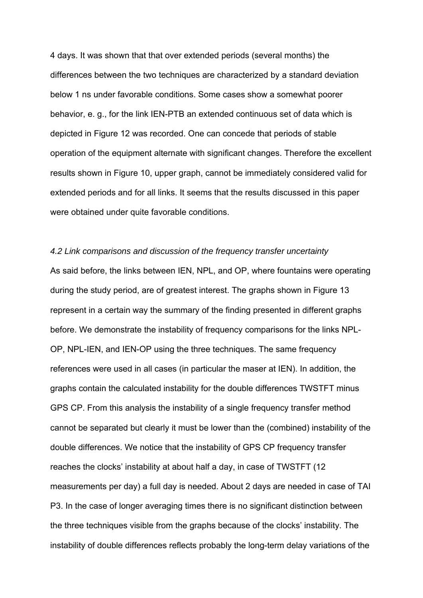4 days. It was shown that that over extended periods (several months) the differences between the two techniques are characterized by a standard deviation below 1 ns under favorable conditions. Some cases show a somewhat poorer behavior, e. g., for the link IEN-PTB an extended continuous set of data which is depicted in Figure 12 was recorded. One can concede that periods of stable operation of the equipment alternate with significant changes. Therefore the excellent results shown in Figure 10, upper graph, cannot be immediately considered valid for extended periods and for all links. It seems that the results discussed in this paper were obtained under quite favorable conditions.

*4.2 Link comparisons and discussion of the frequency transfer uncertainty*  As said before, the links between IEN, NPL, and OP, where fountains were operating during the study period, are of greatest interest. The graphs shown in Figure 13 represent in a certain way the summary of the finding presented in different graphs before. We demonstrate the instability of frequency comparisons for the links NPL-OP, NPL-IEN, and IEN-OP using the three techniques. The same frequency references were used in all cases (in particular the maser at IEN). In addition, the graphs contain the calculated instability for the double differences TWSTFT minus GPS CP. From this analysis the instability of a single frequency transfer method cannot be separated but clearly it must be lower than the (combined) instability of the double differences. We notice that the instability of GPS CP frequency transfer reaches the clocks' instability at about half a day, in case of TWSTFT (12 measurements per day) a full day is needed. About 2 days are needed in case of TAI P3. In the case of longer averaging times there is no significant distinction between the three techniques visible from the graphs because of the clocks' instability. The instability of double differences reflects probably the long-term delay variations of the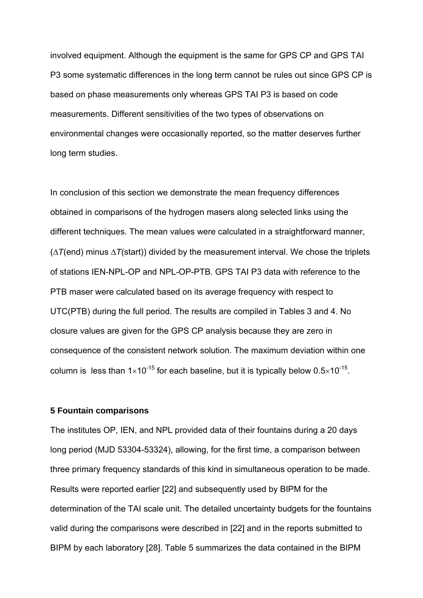involved equipment. Although the equipment is the same for GPS CP and GPS TAI P3 some systematic differences in the long term cannot be rules out since GPS CP is based on phase measurements only whereas GPS TAI P3 is based on code measurements. Different sensitivities of the two types of observations on environmental changes were occasionally reported, so the matter deserves further long term studies.

In conclusion of this section we demonstrate the mean frequency differences obtained in comparisons of the hydrogen masers along selected links using the different techniques. The mean values were calculated in a straightforward manner, (Δ*T*(end) minus Δ*T*(start)) divided by the measurement interval. We chose the triplets of stations IEN-NPL-OP and NPL-OP-PTB. GPS TAI P3 data with reference to the PTB maser were calculated based on its average frequency with respect to UTC(PTB) during the full period. The results are compiled in Tables 3 and 4. No closure values are given for the GPS CP analysis because they are zero in consequence of the consistent network solution. The maximum deviation within one column is less than  $1\times10^{-15}$  for each baseline, but it is typically below  $0.5\times10^{-15}$ .

# **5 Fountain comparisons**

The institutes OP, IEN, and NPL provided data of their fountains during a 20 days long period (MJD 53304-53324), allowing, for the first time, a comparison between three primary frequency standards of this kind in simultaneous operation to be made. Results were reported earlier [22] and subsequently used by BIPM for the determination of the TAI scale unit. The detailed uncertainty budgets for the fountains valid during the comparisons were described in [22] and in the reports submitted to BIPM by each laboratory [28]. Table 5 summarizes the data contained in the BIPM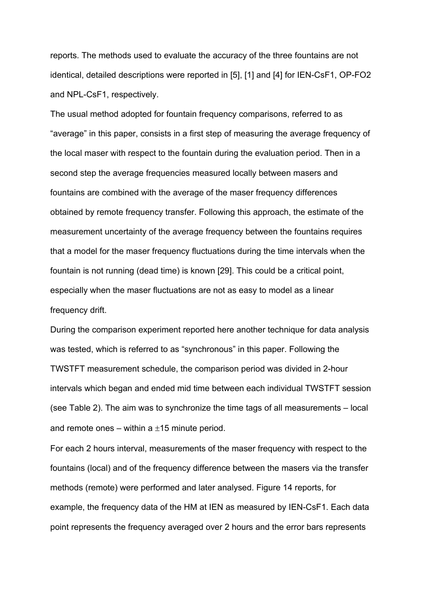reports. The methods used to evaluate the accuracy of the three fountains are not identical, detailed descriptions were reported in [5], [1] and [4] for IEN-CsF1, OP-FO2 and NPL-CsF1, respectively.

The usual method adopted for fountain frequency comparisons, referred to as "average" in this paper, consists in a first step of measuring the average frequency of the local maser with respect to the fountain during the evaluation period. Then in a second step the average frequencies measured locally between masers and fountains are combined with the average of the maser frequency differences obtained by remote frequency transfer. Following this approach, the estimate of the measurement uncertainty of the average frequency between the fountains requires that a model for the maser frequency fluctuations during the time intervals when the fountain is not running (dead time) is known [29]. This could be a critical point, especially when the maser fluctuations are not as easy to model as a linear frequency drift.

During the comparison experiment reported here another technique for data analysis was tested, which is referred to as "synchronous" in this paper. Following the TWSTFT measurement schedule, the comparison period was divided in 2-hour intervals which began and ended mid time between each individual TWSTFT session (see Table 2). The aim was to synchronize the time tags of all measurements – local and remote ones – within a  $\pm 15$  minute period.

For each 2 hours interval, measurements of the maser frequency with respect to the fountains (local) and of the frequency difference between the masers via the transfer methods (remote) were performed and later analysed. Figure 14 reports, for example, the frequency data of the HM at IEN as measured by IEN-CsF1. Each data point represents the frequency averaged over 2 hours and the error bars represents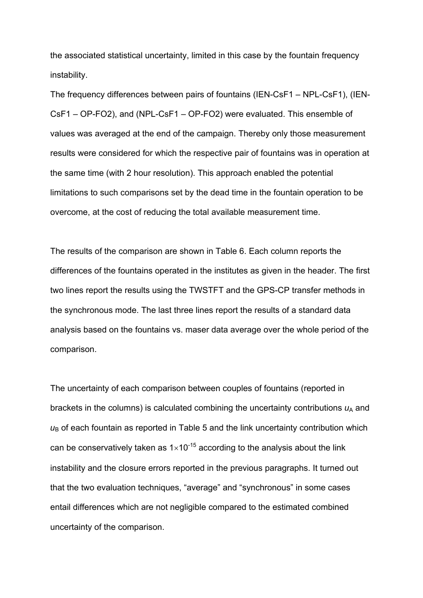the associated statistical uncertainty, limited in this case by the fountain frequency instability.

The frequency differences between pairs of fountains (IEN-CsF1 – NPL-CsF1), (IEN-CsF1 – OP-FO2), and (NPL-CsF1 – OP-FO2) were evaluated. This ensemble of values was averaged at the end of the campaign. Thereby only those measurement results were considered for which the respective pair of fountains was in operation at the same time (with 2 hour resolution). This approach enabled the potential limitations to such comparisons set by the dead time in the fountain operation to be overcome, at the cost of reducing the total available measurement time.

The results of the comparison are shown in Table 6. Each column reports the differences of the fountains operated in the institutes as given in the header. The first two lines report the results using the TWSTFT and the GPS-CP transfer methods in the synchronous mode. The last three lines report the results of a standard data analysis based on the fountains vs. maser data average over the whole period of the comparison.

The uncertainty of each comparison between couples of fountains (reported in brackets in the columns) is calculated combining the uncertainty contributions  $u_A$  and  $u<sub>B</sub>$  of each fountain as reported in Table 5 and the link uncertainty contribution which can be conservatively taken as  $1\times10^{-15}$  according to the analysis about the link instability and the closure errors reported in the previous paragraphs. It turned out that the two evaluation techniques, "average" and "synchronous" in some cases entail differences which are not negligible compared to the estimated combined uncertainty of the comparison.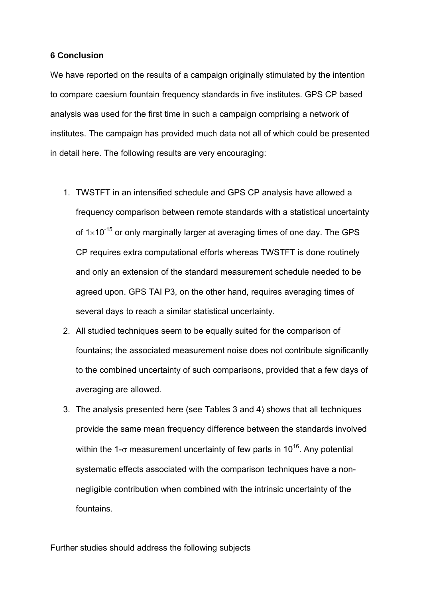# **6 Conclusion**

We have reported on the results of a campaign originally stimulated by the intention to compare caesium fountain frequency standards in five institutes. GPS CP based analysis was used for the first time in such a campaign comprising a network of institutes. The campaign has provided much data not all of which could be presented in detail here. The following results are very encouraging:

- 1. TWSTFT in an intensified schedule and GPS CP analysis have allowed a frequency comparison between remote standards with a statistical uncertainty of  $1\times10^{-15}$  or only marginally larger at averaging times of one day. The GPS CP requires extra computational efforts whereas TWSTFT is done routinely and only an extension of the standard measurement schedule needed to be agreed upon. GPS TAI P3, on the other hand, requires averaging times of several days to reach a similar statistical uncertainty.
- 2. All studied techniques seem to be equally suited for the comparison of fountains; the associated measurement noise does not contribute significantly to the combined uncertainty of such comparisons, provided that a few days of averaging are allowed.
- 3. The analysis presented here (see Tables 3 and 4) shows that all techniques provide the same mean frequency difference between the standards involved within the 1- $\sigma$  measurement uncertainty of few parts in 10<sup>16</sup>. Any potential systematic effects associated with the comparison techniques have a nonnegligible contribution when combined with the intrinsic uncertainty of the fountains.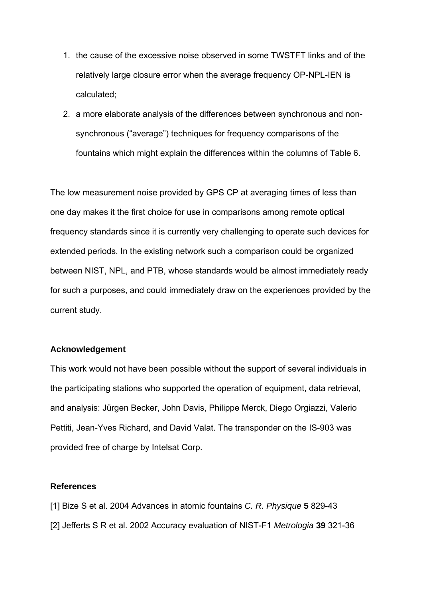- 1. the cause of the excessive noise observed in some TWSTFT links and of the relatively large closure error when the average frequency OP-NPL-IEN is calculated;
- 2. a more elaborate analysis of the differences between synchronous and nonsynchronous ("average") techniques for frequency comparisons of the fountains which might explain the differences within the columns of Table 6.

The low measurement noise provided by GPS CP at averaging times of less than one day makes it the first choice for use in comparisons among remote optical frequency standards since it is currently very challenging to operate such devices for extended periods. In the existing network such a comparison could be organized between NIST, NPL, and PTB, whose standards would be almost immediately ready for such a purposes, and could immediately draw on the experiences provided by the current study.

### **Acknowledgement**

This work would not have been possible without the support of several individuals in the participating stations who supported the operation of equipment, data retrieval, and analysis: Jürgen Becker, John Davis, Philippe Merck, Diego Orgiazzi, Valerio Pettiti, Jean-Yves Richard, and David Valat. The transponder on the IS-903 was provided free of charge by Intelsat Corp.

### **References**

[1] Bize S et al. 2004 Advances in atomic fountains *C. R. Physique* **5** 829-43 [2] Jefferts S R et al. 2002 Accuracy evaluation of NIST-F1 *Metrologia* **39** 321-36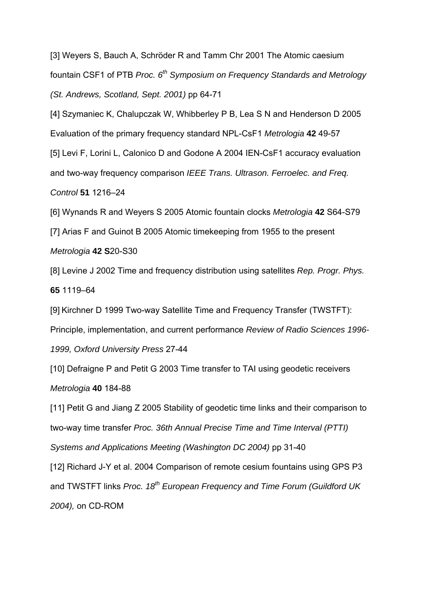[3] Weyers S, Bauch A, Schröder R and Tamm Chr 2001 The Atomic caesium fountain CSF1 of PTB *Proc. 6th Symposium on Frequency Standards and Metrology (St. Andrews, Scotland, Sept. 2001)* pp 64-71

[4] Szymaniec K, Chalupczak W, Whibberley P B, Lea S N and Henderson D 2005 Evaluation of the primary frequency standard NPL-CsF1 *Metrologia* **42** 49-57

[5] Levi F, Lorini L, Calonico D and Godone A 2004 IEN-CsF1 accuracy evaluation and two-way frequency comparison *IEEE Trans. Ultrason. Ferroelec. and Freq.* 

*Control* **51** 1216–24

[6] Wynands R and Weyers S 2005 Atomic fountain clocks *Metrologia* **42** S64-S79

[7] Arias F and Guinot B 2005 Atomic timekeeping from 1955 to the present *Metrologia* **42 S**20-S30

[8] Levine J 2002 Time and frequency distribution using satellites *Rep. Progr. Phys.* **65** 1119–64

[9] Kirchner D 1999 Two-way Satellite Time and Frequency Transfer (TWSTFT):

Principle, implementation, and current performance *Review of Radio Sciences 1996-*

*1999, Oxford University Press* 27-44

[10] Defraigne P and Petit G 2003 Time transfer to TAI using geodetic receivers *Metrologia* **40** 184-88

[11] Petit G and Jiang Z 2005 Stability of geodetic time links and their comparison to two-way time transfer *Proc. 36th Annual Precise Time and Time Interval (PTTI) Systems and Applications Meeting (Washington DC 2004)* pp 31-40

[12] Richard J-Y et al. 2004 Comparison of remote cesium fountains using GPS P3 and TWSTFT links *Proc. 18<sup>th</sup> European Frequency and Time Forum (Guildford UK 2004),* on CD-ROM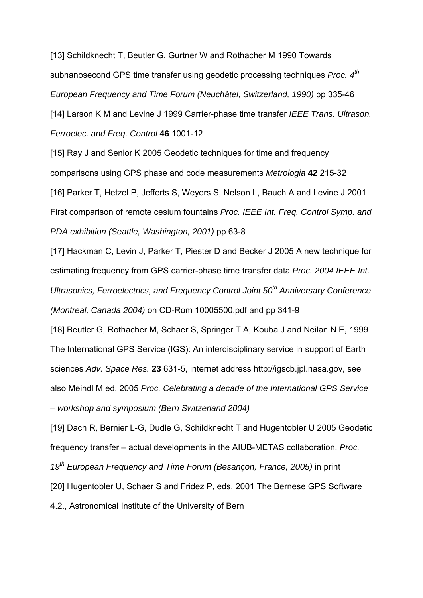[13] Schildknecht T, Beutler G, Gurtner W and Rothacher M 1990 Towards subnanosecond GPS time transfer using geodetic processing techniques *Proc. 4th European Frequency and Time Forum (Neuchâtel, Switzerland, 1990)* pp 335-46 [14] Larson K M and Levine J 1999 Carrier-phase time transfer *IEEE Trans. Ultrason.* 

*Ferroelec. and Freq. Control* **46** 1001-12

[15] Ray J and Senior K 2005 Geodetic techniques for time and frequency comparisons using GPS phase and code measurements *Metrologia* **42** 215-32 [16] Parker T, Hetzel P, Jefferts S, Weyers S, Nelson L, Bauch A and Levine J 2001 First comparison of remote cesium fountains *Proc. IEEE Int. Freq. Control Symp. and PDA exhibition (Seattle, Washington, 2001)* pp 63-8

[17] Hackman C, Levin J, Parker T, Piester D and Becker J 2005 A new technique for estimating frequency from GPS carrier-phase time transfer data *Proc. 2004 IEEE Int. Ultrasonics, Ferroelectrics, and Frequency Control Joint 50<sup>th</sup> Anniversary Conference (Montreal, Canada 2004)* on CD-Rom 10005500.pdf and pp 341-9

[18] Beutler G, Rothacher M, Schaer S, Springer T A, Kouba J and Neilan N E, 1999 The International GPS Service (IGS): An interdisciplinary service in support of Earth sciences *Adv. Space Res.* **23** 631-5, internet address http://igscb.jpl.nasa.gov, see also Meindl M ed. 2005 *Proc. Celebrating a decade of the International GPS Service – workshop and symposium (Bern Switzerland 2004)*

[19] Dach R, Bernier L-G, Dudle G, Schildknecht T and Hugentobler U 2005 Geodetic frequency transfer – actual developments in the AIUB-METAS collaboration, *Proc. 19th European Frequency and Time Forum (Besançon, France, 2005)* in print [20] Hugentobler U, Schaer S and Fridez P, eds. 2001 The Bernese GPS Software 4.2., Astronomical Institute of the University of Bern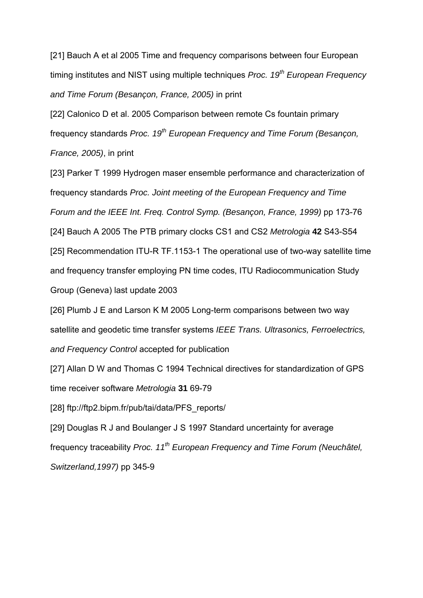[21] Bauch A et al 2005 Time and frequency comparisons between four European timing institutes and NIST using multiple techniques *Proc. 19th European Frequency and Time Forum (Besançon, France, 2005)* in print

[22] Calonico D et al. 2005 Comparison between remote Cs fountain primary frequency standards *Proc.* 19<sup>th</sup> European Frequency and Time Forum (Besancon, *France, 2005)*, in print

[23] Parker T 1999 Hydrogen maser ensemble performance and characterization of frequency standards *Proc. Joint meeting of the European Frequency and Time Forum and the IEEE Int. Freq. Control Symp. (Besançon, France, 1999)* pp 173-76 [24] Bauch A 2005 The PTB primary clocks CS1 and CS2 *Metrologia* **42** S43-S54 [25] Recommendation ITU-R TF.1153-1 The operational use of two-way satellite time and frequency transfer employing PN time codes, ITU Radiocommunication Study Group (Geneva) last update 2003

[26] Plumb J E and Larson K M 2005 Long-term comparisons between two way satellite and geodetic time transfer systems *IEEE Trans. Ultrasonics, Ferroelectrics, and Frequency Control* accepted for publication

[27] Allan D W and Thomas C 1994 Technical directives for standardization of GPS time receiver software *Metrologia* **31** 69-79

[28] ftp://ftp2.bipm.fr/pub/tai/data/PFS\_reports/

[29] Douglas R J and Boulanger J S 1997 Standard uncertainty for average frequency traceability *Proc. 11<sup>th</sup> European Frequency and Time Forum (Neuchâtel, Switzerland,1997)* pp 345-9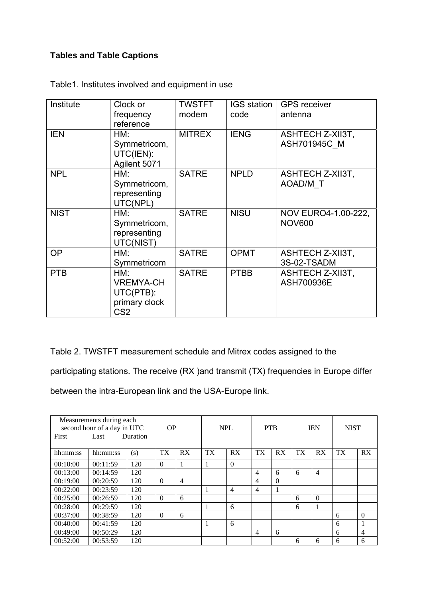# **Tables and Table Captions**

| Institute   | Clock or         | <b>TWSTFT</b> | <b>IGS</b> station | <b>GPS</b> receiver     |
|-------------|------------------|---------------|--------------------|-------------------------|
|             | frequency        | modem         | code               | antenna                 |
|             | reference        |               |                    |                         |
| <b>IEN</b>  | HM:              | <b>MITREX</b> | <b>IENG</b>        | <b>ASHTECH Z-XII3T,</b> |
|             | Symmetricom,     |               |                    | ASH701945C M            |
|             | UTC(IEN):        |               |                    |                         |
|             | Agilent 5071     |               |                    |                         |
| <b>NPL</b>  | HM:              | <b>SATRE</b>  | <b>NPLD</b>        | <b>ASHTECH Z-XII3T,</b> |
|             | Symmetricom,     |               |                    | AOAD/M T                |
|             | representing     |               |                    |                         |
|             | UTC(NPL)         |               |                    |                         |
| <b>NIST</b> | HM:              | <b>SATRE</b>  | <b>NISU</b>        | NOV EURO4-1.00-222,     |
|             | Symmetricom,     |               |                    | <b>NOV600</b>           |
|             | representing     |               |                    |                         |
|             | UTC(NIST)        |               |                    |                         |
| <b>OP</b>   | HM:              | <b>SATRE</b>  | <b>OPMT</b>        | <b>ASHTECH Z-XII3T,</b> |
|             | Symmetricom      |               |                    | 3S-02-TSADM             |
| <b>PTB</b>  | HM:              | <b>SATRE</b>  | <b>PTBB</b>        | <b>ASHTECH Z-XII3T,</b> |
|             | <b>VREMYA-CH</b> |               |                    | ASH700936E              |
|             | UTC(PTB):        |               |                    |                         |
|             | primary clock    |               |                    |                         |
|             | CS <sub>2</sub>  |               |                    |                         |

Table1. Institutes involved and equipment in use

Table 2. TWSTFT measurement schedule and Mitrex codes assigned to the participating stations. The receive (RX )and transmit (TX) frequencies in Europe differ between the intra-European link and the USA-Europe link.

| Measurements during each.<br>second hour of a day in UTC |          | <b>OP</b>       |          |                | <b>NPL</b> | <b>PTB</b>     |           |          | <b>IEN</b> | <b>NIST</b>    |           |          |
|----------------------------------------------------------|----------|-----------------|----------|----------------|------------|----------------|-----------|----------|------------|----------------|-----------|----------|
| First                                                    | Last     | <b>Duration</b> |          |                |            |                |           |          |            |                |           |          |
| hh:mm:ss                                                 | hh:mm:ss | (s)             | TX       | <b>RX</b>      | <b>TX</b>  | RX             | <b>TX</b> | RX       | <b>TX</b>  | RX             | <b>TX</b> | RX       |
| 00:10:00                                                 | 00:11:59 | 120             | $\Omega$ |                |            | $\Omega$       |           |          |            |                |           |          |
| 00:13:00                                                 | 00:14:59 | 120             |          |                |            |                | 4         | 6        | 6          | $\overline{4}$ |           |          |
| 00:19:00                                                 | 00:20:59 | 120             | $\Omega$ | $\overline{4}$ |            |                | 4         | $\Omega$ |            |                |           |          |
| 00:22:00                                                 | 00:23:59 | 120             |          |                |            | $\overline{4}$ | 4         |          |            |                |           |          |
| 00:25:00                                                 | 00:26:59 | 120             | $\Omega$ | 6              |            |                |           |          | 6          | $\Omega$       |           |          |
| 00:28:00                                                 | 00:29:59 | 120             |          |                |            | 6              |           |          | 6          |                |           |          |
| 00:37:00                                                 | 00:38:59 | 120             | $\Omega$ | 6              |            |                |           |          |            |                | 6         | $\Omega$ |
| 00:40:00                                                 | 00:41:59 | 120             |          |                |            | 6              |           |          |            |                | 6         |          |
| 00:49:00                                                 | 00:50:29 | 120             |          |                |            |                | 4         | 6        |            |                | 6         | 4        |
| 00:52:00                                                 | 00:53:59 | 120             |          |                |            |                |           |          | 6          | 6              | 6         | 6        |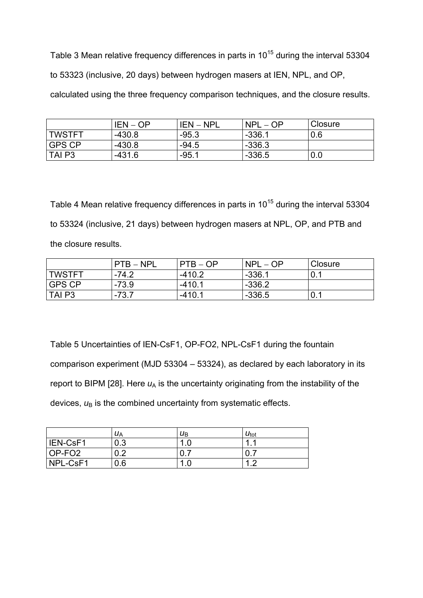Table 3 Mean relative frequency differences in parts in 10<sup>15</sup> during the interval 53304 to 53323 (inclusive, 20 days) between hydrogen masers at IEN, NPL, and OP,

calculated using the three frequency comparison techniques, and the closure results.

|                | $IEN - OP$ | <b>IEN - NPL</b> | $NPL - OP$ | Closure |
|----------------|------------|------------------|------------|---------|
| <b>ITWSTFT</b> | -430.8     | $-95.3$          | $-336.1$   | 0.6     |
| <b>GPS CP</b>  | $-430.8$   | $-94.5$          | $-336.3$   |         |
| TAI P3         | $-431.6$   | $-95.1$          | $-336.5$   | 0.0     |

Table 4 Mean relative frequency differences in parts in  $10^{15}$  during the interval 53304 to 53324 (inclusive, 21 days) between hydrogen masers at NPL, OP, and PTB and the closure results.

|               | PTB – NPL | I PTB – OP | $NPL - OP$ | Closure |
|---------------|-----------|------------|------------|---------|
| <b>TWSTFT</b> | $-74.2$   | $-410.2$   | $-336.1$   |         |
| <b>GPS CP</b> | $-73.9$   | -410.1     | $-336.2$   |         |
| TAI P3        | $-73.7$   | $-410.1$   | $-336.5$   | 0.1     |

Table 5 Uncertainties of IEN-CsF1, OP-FO2, NPL-CsF1 during the fountain comparison experiment (MJD 53304 – 53324), as declared by each laboratory in its report to BIPM [28]. Here  $u_A$  is the uncertainty originating from the instability of the devices,  $u<sub>B</sub>$  is the combined uncertainty from systematic effects.

|                    | $U_A$ | $U_{\text{B}}$        | $U_{\text{tot}}$ |
|--------------------|-------|-----------------------|------------------|
| IEN-CsF1           | 0.3   | 1.0                   | . .              |
| OP-FO <sub>2</sub> | 0.2   |                       |                  |
| NPL-CsF1           | 0.6   | $\overline{1}$<br>1.0 | $\sim$           |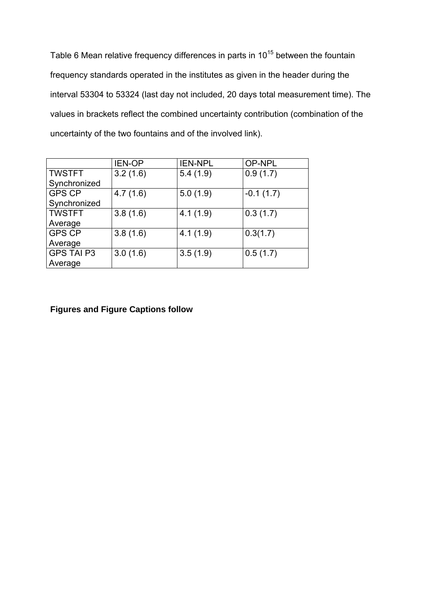Table 6 Mean relative frequency differences in parts in 10<sup>15</sup> between the fountain frequency standards operated in the institutes as given in the header during the interval 53304 to 53324 (last day not included, 20 days total measurement time). The values in brackets reflect the combined uncertainty contribution (combination of the uncertainty of the two fountains and of the involved link).

|                   | <b>IEN-OP</b> | <b>IEN-NPL</b> | OP-NPL      |
|-------------------|---------------|----------------|-------------|
| <b>TWSTFT</b>     | 3.2(1.6)      | 5.4(1.9)       | 0.9(1.7)    |
| Synchronized      |               |                |             |
| <b>GPS CP</b>     | 4.7(1.6)      | 5.0(1.9)       | $-0.1(1.7)$ |
| Synchronized      |               |                |             |
| <b>TWSTFT</b>     | 3.8(1.6)      | 4.1(1.9)       | 0.3(1.7)    |
| Average           |               |                |             |
| <b>GPS CP</b>     | 3.8(1.6)      | 4.1(1.9)       | 0.3(1.7)    |
| Average           |               |                |             |
| <b>GPS TAI P3</b> | 3.0(1.6)      | 3.5(1.9)       | 0.5(1.7)    |
| Average           |               |                |             |

**Figures and Figure Captions follow**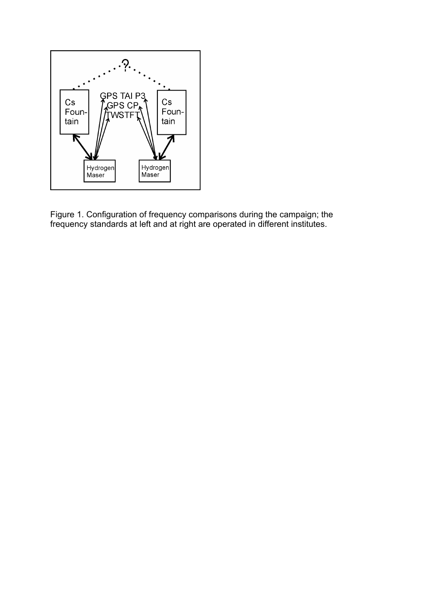

Figure 1. Configuration of frequency comparisons during the campaign; the frequency standards at left and at right are operated in different institutes.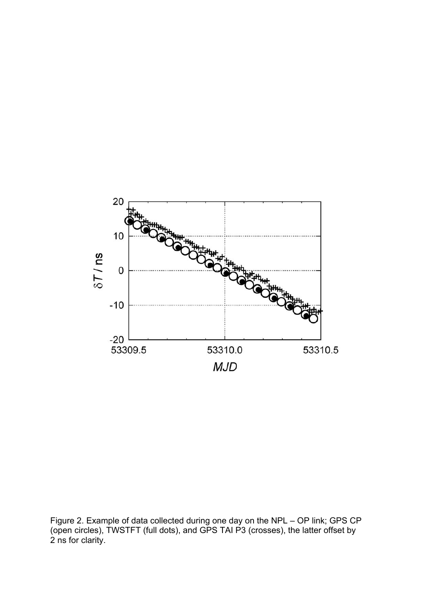

Figure 2. Example of data collected during one day on the NPL – OP link; GPS CP (open circles), TWSTFT (full dots), and GPS TAI P3 (crosses), the latter offset by 2 ns for clarity.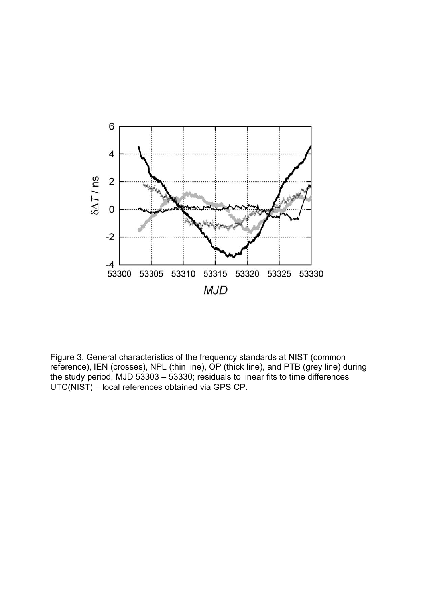

Figure 3. General characteristics of the frequency standards at NIST (common reference), IEN (crosses), NPL (thin line), OP (thick line), and PTB (grey line) during the study period, MJD 53303 – 53330; residuals to linear fits to time differences UTC(NIST) − local references obtained via GPS CP.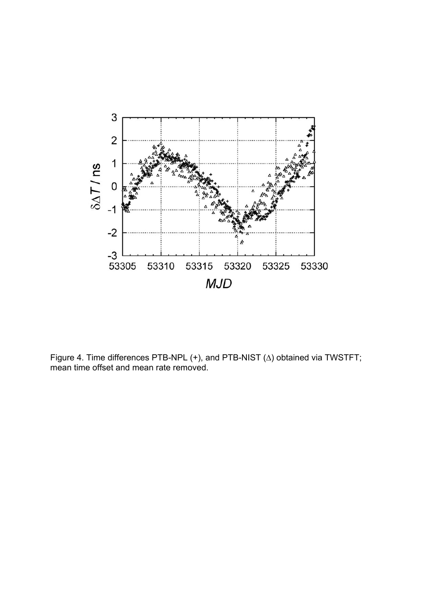

Figure 4. Time differences PTB-NPL  $(+)$ , and PTB-NIST  $( \Delta )$  obtained via TWSTFT; mean time offset and mean rate removed.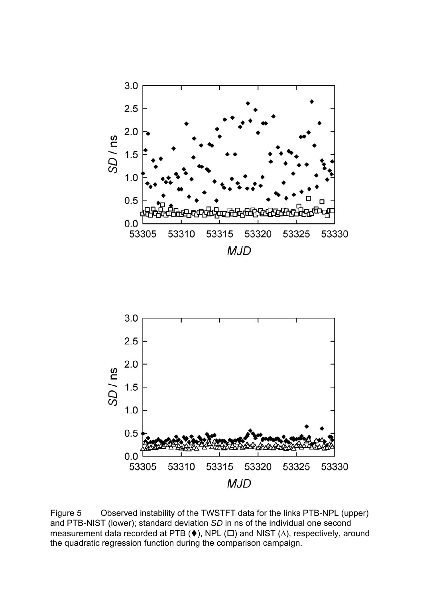



Figure 5 Observed instability of the TWSTFT data for the links PTB-NPL (upper) and PTB-NIST (lower); standard deviation *SD* in ns of the individual one second measurement data recorded at PTB ( $\blacklozenge$ ), NPL ( $\square$ ) and NIST ( $\triangle$ ), respectively, around the quadratic regression function during the comparison campaign.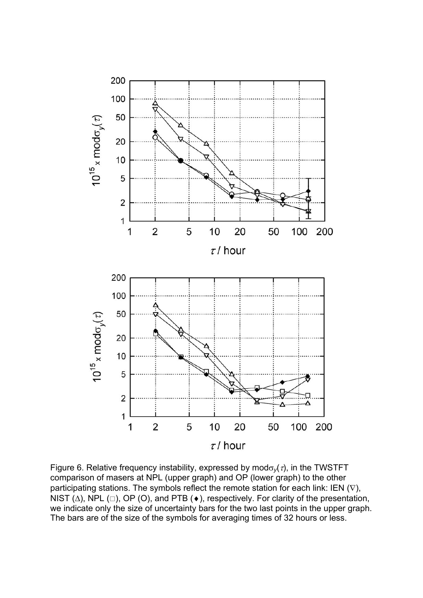

Figure 6. Relative frequency instability, expressed by mod $\sigma_y(\tau)$ , in the TWSTFT comparison of masers at NPL (upper graph) and OP (lower graph) to the other participating stations. The symbols reflect the remote station for each link: IEN  $(∇)$ , NIST ( $\triangle$ ), NPL ( $\square$ ), OP (O), and PTB ( $\bullet$ ), respectively. For clarity of the presentation, we indicate only the size of uncertainty bars for the two last points in the upper graph. The bars are of the size of the symbols for averaging times of 32 hours or less.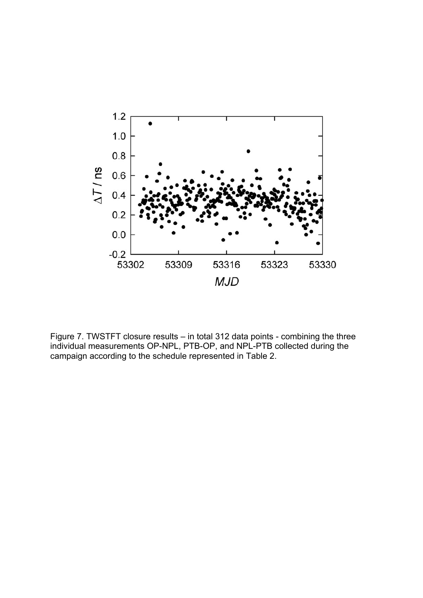

Figure 7. TWSTFT closure results – in total 312 data points - combining the three individual measurements OP-NPL, PTB-OP, and NPL-PTB collected during the campaign according to the schedule represented in Table 2.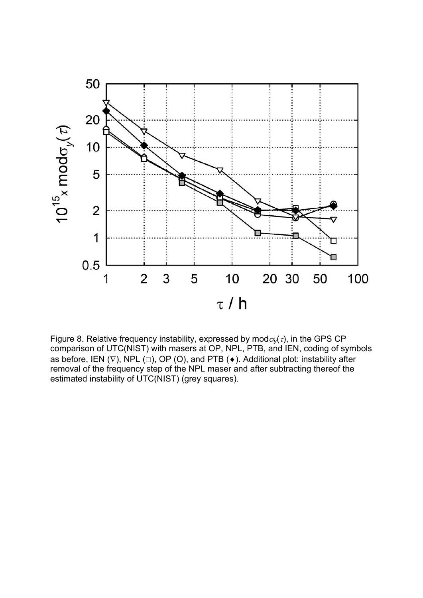

Figure 8. Relative frequency instability, expressed by mod $\sigma_{\nu}(\tau)$ , in the GPS CP comparison of UTC(NIST) with masers at OP, NPL, PTB, and IEN, coding of symbols as before, IEN  $(\nabla)$ , NPL  $(\square)$ , OP  $(O)$ , and PTB  $(\bullet)$ . Additional plot: instability after removal of the frequency step of the NPL maser and after subtracting thereof the estimated instability of UTC(NIST) (grey squares).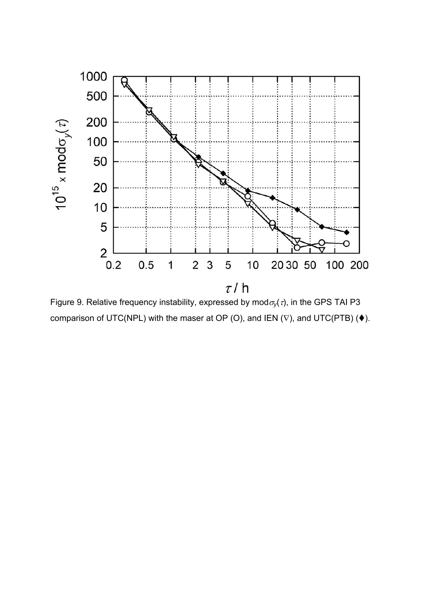

Figure 9. Relative frequency instability, expressed by mod<sup>σ</sup>*y*(τ), in the GPS TAI P3 comparison of UTC(NPL) with the maser at OP (O), and IEN ( $\nabla$ ), and UTC(PTB) ( $\blacklozenge$ ).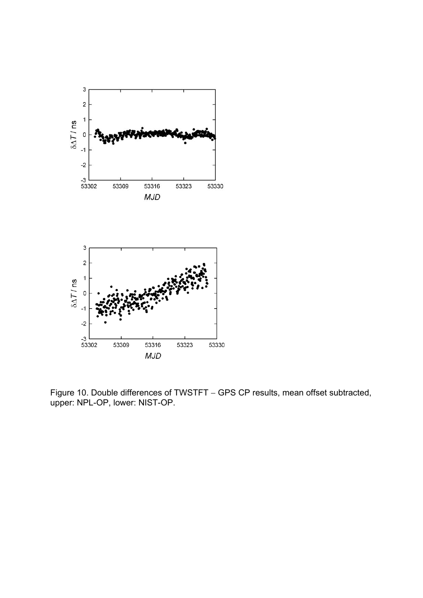

Figure 10. Double differences of TWSTFT – GPS CP results, mean offset subtracted, upper: NPL-OP, lower: NIST-OP.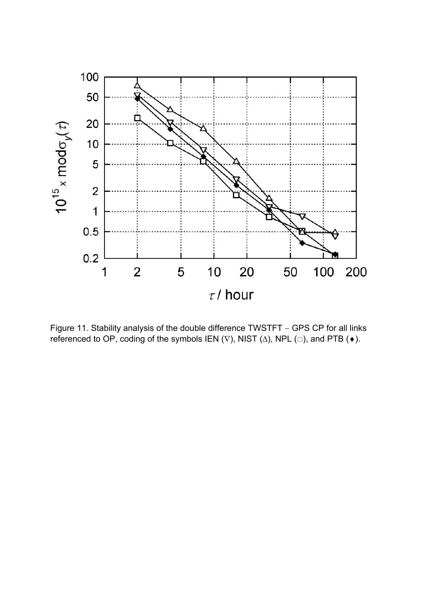

Figure 11. Stability analysis of the double difference TWSTFT − GPS CP for all links referenced to OP, coding of the symbols IEN ( $\nabla$ ), NIST ( $\Delta$ ), NPL ( $\square$ ), and PTB ( $\bullet$ ).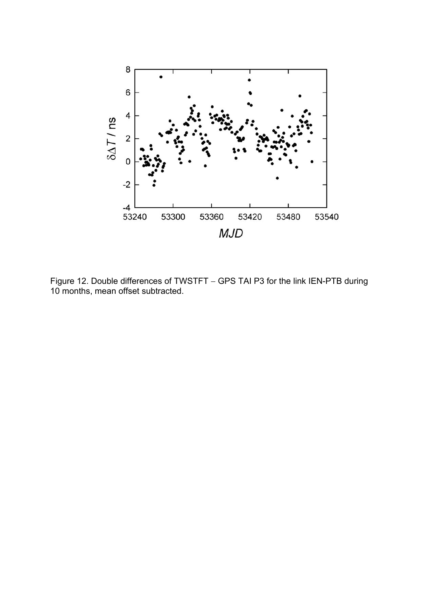

Figure 12. Double differences of TWSTFT – GPS TAI P3 for the link IEN-PTB during 10 months, mean offset subtracted.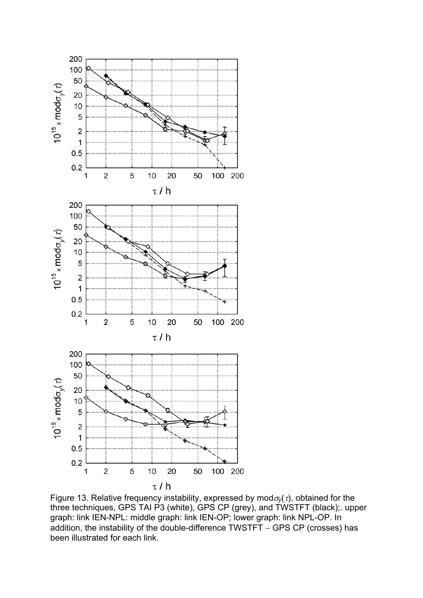

Figure 13. Relative frequency instability, expressed by mod<sup>σ</sup>*y*(τ), obtained for the three techniques, GPS TAI P3 (white), GPS CP (grey), and TWSTFT (black);. upper graph: link IEN-NPL: middle graph: link IEN-OP; lower graph: link NPL-OP. In addition, the instability of the double-difference TWSTFT – GPS CP (crosses) has been illustrated for each link.